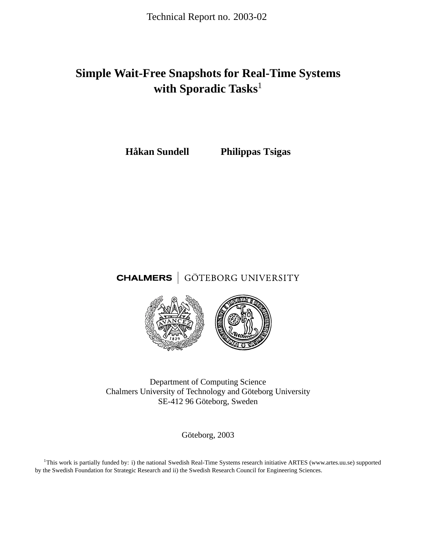# **Simple Wait-Free Snapshots for Real-Time Systems with Sporadic Tasks**<sup>1</sup>

**Håkan Sundell Philippas Tsigas**

## **CHALMERS** GÖTEBORG UNIVERSITY



Department of Computing Science Chalmers University of Technology and Göteborg University SE-412 96 Göteborg, Sweden

Göteborg, 2003

<sup>1</sup>This work is partially funded by: i) the national Swedish Real-Time Systems research initiative ARTES (www.artes.uu.se) supported by the Swedish Foundation for Strategic Research and ii) the Swedish Research Council for Engineering Sciences.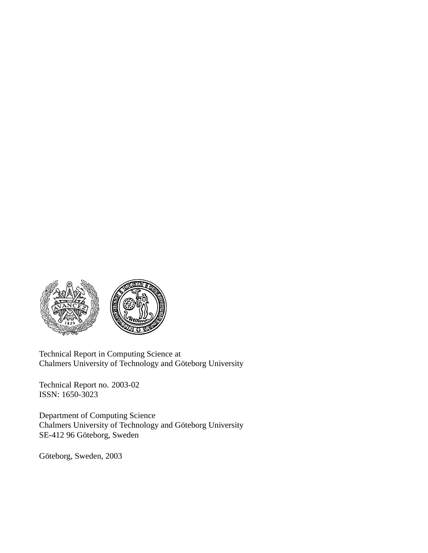

Technical Report in Computing Science at Chalmers University of Technology and Göteborg University

Technical Report no. 2003-02 ISSN: 1650-3023

Department of Computing Science Chalmers University of Technology and Göteborg University SE-412 96 Göteborg, Sweden

Göteborg, Sweden, 2003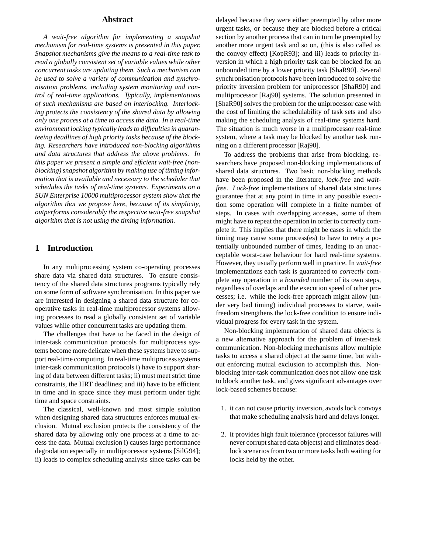#### **Abstract**

*A wait-free algorithm for implementing a snapshot mechanism for real-time systems is presented in this paper. Snapshot mechanisms give the means to a real-time task to read a globally consistent set of variable values while other concurrent tasks are updating them. Such a mechanism can be used to solve a variety of communication and synchronisation problems, including system monitoring and control of real-time applications. Typically, implementations of such mechanisms are based on interlocking. Interlocking protects the consistency of the shared data by allowing only one process at a time to access the data. In a real-time environment locking typically leads to difficulties in guaranteeing deadlines of high priority tasks because of the blocking. Researchers have introduced non-blocking algorithms and data structures that address the above problems. In this paper we present a simple and efficient wait-free (nonblocking) snapshot algorithm by making use of timing information that is available and necessary to the scheduler that schedules the tasks of real-time systems. Experiments on a SUN Enterprise 10000 multiprocessor system show that the algorithm that we propose here, because of its simplicity, outperforms considerably the respective wait-free snapshot algorithm that is not using the timing information.*

#### **1 Introduction**

In any multiprocessing system co-operating processes share data via shared data structures. To ensure consistency of the shared data structures programs typically rely on some form of software synchronisation. In this paper we are interested in designing a shared data structure for cooperative tasks in real-time multiprocessor systems allowing processes to read a globally consistent set of variable values while other concurrent tasks are updating them.

The challenges that have to be faced in the design of inter-task communication protocols for multiprocess systems become more delicate when these systems have to support real-time computing. In real-time multiprocess systems inter-task communication protocols i) have to support sharing of data between different tasks; ii) must meet strict time constraints, the HRT deadlines; and iii) have to be efficient in time and in space since they must perform under tight time and space constraints.

The classical, well-known and most simple solution when designing shared data structures enforces mutual exclusion. Mutual exclusion protects the consistency of the shared data by allowing only one process at a time to access the data. Mutual exclusion i) causes large performance degradation especially in multiprocessor systems [SilG94]; ii) leads to complex scheduling analysis since tasks can be

delayed because they were either preempted by other more urgent tasks, or because they are blocked before a critical section by another process that can in turn be preempted by another more urgent task and so on, (this is also called as the convoy effect) [KopR93]; and iii) leads to priority inversion in which a high priority task can be blocked for an unbounded time by a lower priority task [ShaR90]. Several synchronisation protocols have been introduced to solve the priority inversion problem for uniprocessor [ShaR90] and multiprocessor [Raj90] systems. The solution presented in [ShaR90] solves the problem for the uniprocessor case with the cost of limiting the schedulability of task sets and also making the scheduling analysis of real-time systems hard. The situation is much worse in a multiprocessor real-time system, where a task may be blocked by another task running on a different processor [Raj90].

To address the problems that arise from blocking, researchers have proposed non-blocking implementations of shared data structures. Two basic non-blocking methods have been proposed in the literature, *lock-free* and *waitfree*. *Lock-free* implementations of shared data structures guarantee that at any point in time in any possible execution some operation will complete in a finite number of steps. In cases with overlapping accesses, some of them might have to repeat the operation in order to correctly complete it. This implies that there might be cases in which the timing may cause some process(es) to have to retry a potentially unbounded number of times, leading to an unacceptable worst-case behaviour for hard real-time systems. However, they usually perform well in practice. In *wait-free* implementations each task is guaranteed to *correctly* complete any operation in a *bounded* number of its own steps, regardless of overlaps and the execution speed of other processes; i.e. while the lock-free approach might allow (under very bad timing) individual processes to starve, waitfreedom strengthens the lock-free condition to ensure individual progress for every task in the system.

Non-blocking implementation of shared data objects is a new alternative approach for the problem of inter-task communication. Non-blocking mechanisms allow multiple tasks to access a shared object at the same time, but without enforcing mutual exclusion to accomplish this. Nonblocking inter-task communication does not allow one task to block another task, and gives significant advantages over lock-based schemes because:

- 1. it can not cause priority inversion, avoids lock convoys that make scheduling analysis hard and delays longer.
- 2. it provides high fault tolerance (processor failures will never corrupt shared data objects) and eliminates deadlock scenarios from two or more tasks both waiting for locks held by the other.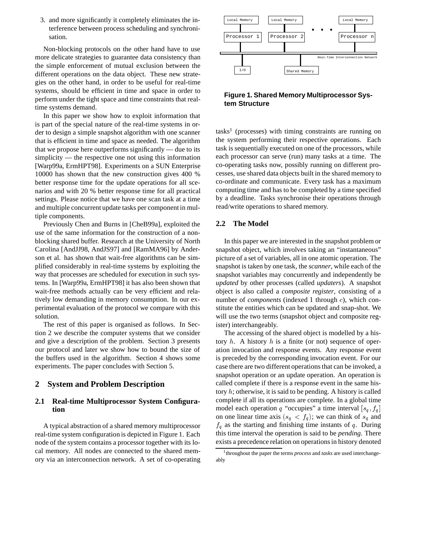3. and more significantly it completely eliminates the interference between process scheduling and synchronisation.

Non-blocking protocols on the other hand have to use more delicate strategies to guarantee data consistency than the simple enforcement of mutual exclusion between the different operations on the data object. These new strategies on the other hand, in order to be useful for real-time systems, should be efficient in time and space in order to perform under the tight space and time constraints that realtime systems demand.

In this paper we show how to exploit information that is part of the special nature of the real-time systems in order to design a simple snapshot algorithm with one scanner that is efficient in time and space as needed. The algorithm that we propose here outperforms significantly — due to its simplicity — the respective one not using this information [Warp99a, ErmHPT98]. Experiments on a SUN Enterprise 10000 has shown that the new construction gives 400 % better response time for the update operations for all scenarios and with 20 % better response time for all practical settings. Please notice that we have one scan task at a time and multiple concurrent update tasks per component in multiple components.

Previously Chen and Burns in [CheB99a], exploited the use of the same information for the construction of a nonblocking shared buffer. Research at the University of North Carolina [AndJJ98, AndJS97] and [RamMA96] by Anderson et al. has shown that wait-free algorithms can be simplified considerably in real-time systems by exploiting the way that processes are scheduled for execution in such systems. In [Warp99a, ErmHPT98] it has also been shown that wait-free methods actually can be very efficient and relatively low demanding in memory consumption. In our experimental evaluation of the protocol we compare with this solution.

The rest of this paper is organised as follows. In Section 2 we describe the computer systems that we consider and give a description of the problem. Section 3 presents our protocol and later we show how to bound the size of the buffers used in the algorithm. Section 4 shows some experiments. The paper concludes with Section 5.

#### **2 System and Problem Description**

#### **2.1 Real-time Multiprocessor System Configuration**

A typical abstraction of a shared memory multiprocessor real-time system configuration is depicted in Figure 1. Each node of the system contains a processor together with its local memory. All nodes are connected to the shared memory via an interconnection network. A set of co-operating



#### **Figure 1. Shared Memory Multiprocessor System Structure**

 $tasks<sup>1</sup>$  (processes) with timing constraints are running on the system performing their respective operations. Each task is sequentially executed on one of the processors, while each processor can serve (run) many tasks at a time. The co-operating tasks now, possibly running on different processes, use shared data objects built in the shared memory to co-ordinate and communicate. Every task has a maximum computing time and has to be completed by a time specified by a deadline. Tasks synchronise their operations through read/write operations to shared memory.

#### **2.2 The Model**

In this paper we are interested in the snapshot problem or snapshot object, which involves taking an "instantaneous" picture of a set of variables, all in one atomic operation. The snapshot is taken by one task, the *scanner*, while each of the snapshot variables may concurrently and independently be *updated* by other processes (called *updaters*). A snapshot object is also called a *composite register*, consisting of a number of *components* (indexed <sup>1</sup> through <sup>c</sup>), which constitute the entities which can be updated and snap-shot. We will use the two terms (snapshot object and composite register) interchangeably.

The accessing of the shared object is modelled by a history  $h$ . A history  $h$  is a finite (or not) sequence of operation invocation and response events. Any response event is preceded by the corresponding invocation event. For our case there are two different operations that can be invoked, a snapshot operation or an update operation. An operation is called complete if there is a response event in the same history  $h$ ; otherwise, it is said to be pending. A history is called complete if all its operations are complete. In a global time model each operation q "occupies" a time interval  $[s_q, f_q]$ on one linear time axis  $(s_q < f_q)$ ; we can think of  $s_q$  and  $f_q$  as the starting and finishing time instants of q. During this time interval the operation is said to be *pending*. There exists a precedence relation on operations in history denoted

<sup>1</sup>throughout the paper the terms *process* and *tasks* are used interchangeably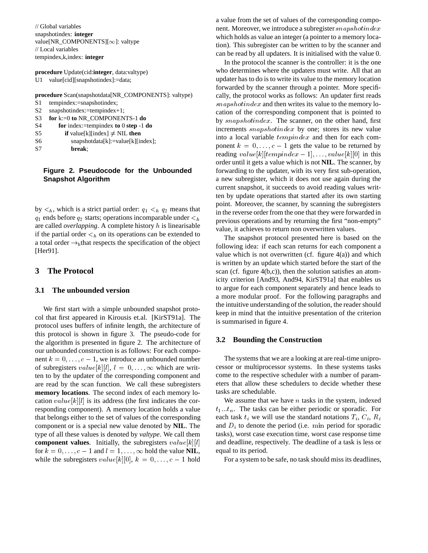// Global variables snapshotindex: **integer** value[NR\_COMPONENTS][ $\infty$ ]: valtype // Local variables tempindex,k,index: **integer**

**procedure** Update(cid:**integer**, data:valtype) U1 value[cid][snapshotindex]:=data;

**procedure** Scan(snapshotdata[NR\_COMPONENTS]: valtype)

- S1 tempindex:=snapshotindex;
- S2 snapshotindex:=tempindex+1;
- S3 **for** k:=0 **to** NR\_COMPONENTS-1 **do**
- S4 **for** index:=tempindex **to** 0 **step** -1 **do**
- S5 **if** value[k][index]  $\neq$  NIL **then**
- S6 snapshotdata[k]:=value[k][index];
- S7 **break**;

#### **Figure 2. Pseudocode for the Unbounded Snapshot Algorithm**

by  $\lt_h$ , which is a strict partial order:  $q_1 \lt_h q_2$  means that  $q_1$  ends before  $q_2$  starts; operations incomparable under  $\lt_h$ are called *overlapping*. A complete history <sup>h</sup> is linearisable if the partial order  $\lt_h$  on its operations can be extended to a total order  $\rightarrow$ <sub>h</sub>that respects the specification of the object [Her91].

#### **3 The Protocol**

#### **3.1 The unbounded version**

We first start with a simple unbounded snapshot protocol that first appeared in Kirousis et.al. [KirST91a]. The protocol uses buffers of infinite length, the architecture of this protocol is shown in figure 3. The pseudo-code for the algorithm is presented in figure 2. The architecture of our unbounded construction is as follows: For each component  $k = 0, \ldots, c - 1$ , we introduce an unbounded number of subregisters  $value[k][l], l = 0, \ldots, \infty$  which are written to by the updater of the corresponding component and are read by the scan function. We call these subregisters **memory locations**. The second index of each memory location  $value[k][l]$  is its address (the first indicates the corresponding component). A memory location holds a value that belongs either to the set of values of the corresponding component or is a special new value denoted by **NIL**. The type of all these values is denoted by *valtype*. We call them **component values**. Initially, the subregisters  $value[k][l]$ for  $k = 0, \ldots, c - 1$  and  $l = 1, \ldots, \infty$  hold the value **NIL**, while the subregisters  $value[k][0], k = 0, \ldots, c - 1$  hold

a value from the set of values of the corresponding component. Moreover, we introduce a subregister snapshotindex which holds as value an integer (a pointer to a memory location). This subregister can be written to by the scanner and can be read by all updaters. It is initialised with the value 0.

In the protocol the scanner is the controller: it is the one who determines where the updaters must write. All that an updater has to do is to write its value to the memory location forwarded by the scanner through a pointer. More specifically, the protocol works as follows: An updater first reads snapshotindex and then writes its value to the memory location of the corresponding component that is pointed to by snapshotindex. The scanner, on the other hand, first increments *snapshotindex* by one; stores its new value into a local variable tempindex and then for each component  $k = 0, \ldots, c - 1$  gets the value to be returned by reading value[k][tempindex - 1], ..., value[k][0] in this order until it gets a value which is not **NIL**. The scanner, by forwarding to the updater, with its very first sub-operation, a new subregister, which it does not use again during the current snapshot, it succeeds to avoid reading values written by update operations that started after its own starting point. Moreover, the scanner, by scanning the subregisters in the reverse order from the one that they were forwarded in previous operations and by returning the first "non-empty" value, it achieves to return non overwritten values.

The snapshot protocol presented here is based on the following idea: if each scan returns for each component a value which is not overwritten (cf. figure  $4(a)$ ) and which is written by an update which started before the start of the scan (cf. figure  $4(b,c)$ ), then the solution satisfies an atomicity criterion [And93, And94, KirST91a] that enables us to argue for each component separately and hence leads to a more modular proof. For the following paragraphs and the intuitive understanding of the solution, the reader should keep in mind that the intuitive presentation of the criterion is summarised in figure 4.

#### **3.2 Bounding the Construction**

The systems that we are a looking at are real-time uniprocessor or multiprocessor systems. In these systems tasks come to the respective scheduler with a number of parameters that allow these schedulers to decide whether these tasks are schedulable.

We assume that we have  $n$  tasks in the system, indexed  $t_1...t_n$ . The tasks can be either periodic or sporadic. For each task  $t_i$  we will use the standard notations  $T_i$ ,  $C_i$ ,  $R_i$ and  $D_i$  to denote the period (i.e. min period for sporadic tasks), worst case execution time, worst case response time and deadline, respectively. The deadline of a task is less or equal to its period.

For a system to be safe, no task should miss its deadlines,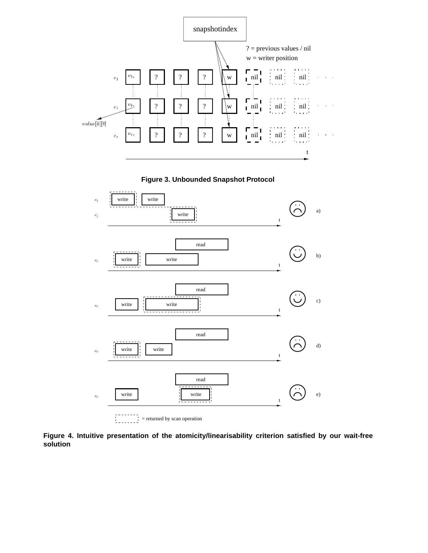





**Figure 4. Intuitive presentation of the atomicity/linearisability criterion satisfied by our wait-free solution**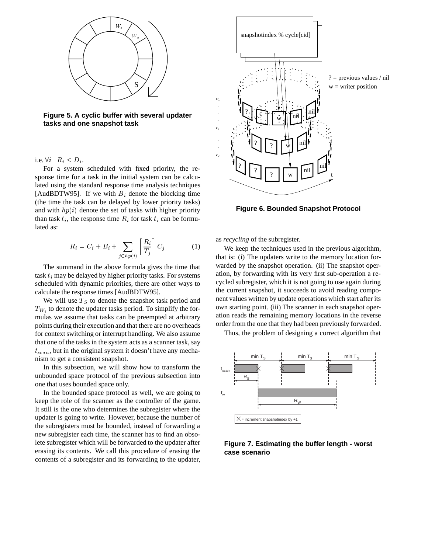

**Figure 5. A cyclic buffer with several updater tasks and one snapshot task**

i.e.  $\forall i \mid R_i \leq D_i$ .

For a system scheduled with fixed priority, the response time for a task in the initial system can be calculated using the standard response time analysis techniques [AudBDTW95]. If we with  $B_i$  denote the blocking time (the time the task can be delayed by lower priority tasks) and with  $hp(i)$  denote the set of tasks with higher priority than task  $t_i$ , the response time  $R_i$  for task  $t_i$  can be formulated as:

$$
R_i = C_i + B_i + \sum_{j \in hp(i)} \left[ \frac{R_i}{T_j} \right] C_j \tag{1}
$$

The summand in the above formula gives the time that task  $t_i$  may be delayed by higher priority tasks. For systems scheduled with dynamic priorities, there are other ways to calculate the response times [AudBDTW95].

We will use  $T<sub>S</sub>$  to denote the snapshot task period and  $T_{W_i}$  to denote the updater tasks period. To simplify the formulas we assume that tasks can be preempted at arbitrary points during their execution and that there are no overheads for context switching or interrupt handling. We also assume that one of the tasks in the system acts as a scanner task, say  $t_{scan}$ , but in the original system it doesn't have any mechanism to get a consistent snapshot.

In this subsection, we will show how to transform the unbounded space protocol of the previous subsection into one that uses bounded space only.

In the bounded space protocol as well, we are going to keep the role of the scanner as the controller of the game. It still is the one who determines the subregister where the updater is going to write. However, because the number of the subregisters must be bounded, instead of forwarding a new subregister each time, the scanner has to find an obsolete subregister which will be forwarded to the updater after erasing its contents. We call this procedure of erasing the contents of a subregister and its forwarding to the updater,



**Figure 6. Bounded Snapshot Protocol**

as *recycling* of the subregister.

We keep the techniques used in the previous algorithm, that is: (i) The updaters write to the memory location forwarded by the snapshot operation. (ii) The snapshot operation, by forwarding with its very first sub-operation a recycled subregister, which it is not going to use again during the current snapshot, it succeeds to avoid reading component values written by update operations which start after its own starting point. (iii) The scanner in each snapshot operation reads the remaining memory locations in the reverse order from the one that they had been previously forwarded.

Thus, the problem of designing a correct algorithm that



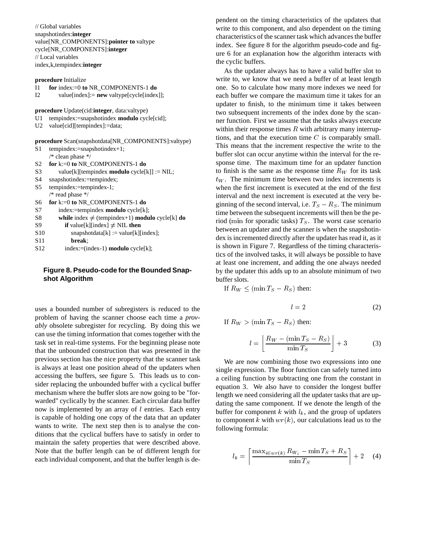// Global variables snapshotindex:**integer** value[NR\_COMPONENTS]:**pointer to** valtype cycle[NR\_COMPONENTS]:**integer** // Local variables index,k,tempindex:**integer**

#### **procedure** Initialize

- I1 **for** index:=0 **to** NR\_COMPONENTS-1 **do**
- I2 value[index]:= **new** valtype[cycle[index]];

**procedure** Update(cid:**integer**, data:valtype)

- U1 tempindex:=snapshotindex **modulo** cycle[cid];
- U2 value[cid][tempindex]:=data;

**procedure** Scan(snapshotdata[NR\_COMPONENTS]:valtype)

- S1 tempindex:=snapshotindex+1; /\* clean phase \*/
- S2 **for** k:=0 **to** NR\_COMPONENTS-1 **do**
- S3 value[k][tempindex **modulo** cycle[k]] := NIL;
- S4 snapshotindex:=tempindex;
- S5 tempindex:=tempindex-1;
- /\* read phase \*/
- S6 **for** k:=0 **to** NR\_COMPONENTS-1 **do**
- S7 index:=tempindex **modulo** cycle[k];
- S8 while index  $\neq$  (tempindex+1) modulo cycle[k] do
- S9 **if** value[k][index]  $\neq$  NIL **then**
- $S10$  snapshotdata[k] := value[k][index];
- S11 **break**;
- S12 index:=(index-1) **modulo** cycle[k];

#### **Figure 8. Pseudo-code for the Bounded Snapshot Algorithm**

uses a bounded number of subregisters is reduced to the problem of having the scanner choose each time a *provably* obsolete subregister for recycling. By doing this we can use the timing information that comes together with the task set in real-time systems. For the beginning please note that the unbounded construction that was presented in the previous section has the nice property that the scanner task is always at least one position ahead of the updaters when accessing the buffers, see figure 5. This leads us to consider replacing the unbounded buffer with a cyclical buffer mechanism where the buffer slots are now going to be "forwarded" cyclically by the scanner. Each circular data buffer now is implemented by an array of <sup>l</sup> entries. Each entry is capable of holding one copy of the data that an updater wants to write. The next step then is to analyse the conditions that the cyclical buffers have to satisfy in order to maintain the safety properties that were described above. Note that the buffer length can be of different length for each individual component, and that the buffer length is dependent on the timing characteristics of the updaters that write to this component, and also dependent on the timing characteristics of the scanner task which advances the buffer index. See figure 8 for the algorithm pseudo-code and figure 6 for an explanation how the algorithm interacts with the cyclic buffers.

As the updater always has to have a valid buffer slot to write to, we know that we need a buffer of at least length one. So to calculate how many more indexes we need for each buffer we compare the maximum time it takes for an updater to finish, to the minimum time it takes between two subsequent increments of the index done by the scanner function. First we assume that the tasks always execute within their response times  $R$  with arbitrary many interruptions, and that the execution time  $C$  is comparably small. This means that the increment respective the write to the buffer slot can occur anytime within the interval for the response time. The maximum time for an updater function to finish is the same as the response time  $R_W$  for its task  $t_W$ . The minimum time between two index increments is when the first increment is executed at the end of the first interval and the next increment is executed at the very beginning of the second interval, i.e.  $T_S - R_S$ . The minimum time between the subsequent increments will then be the period (min for sporadic tasks)  $T<sub>S</sub>$ . The worst case scenario between an updater and the scanner is when the snapshotindex is incremented directly after the updater has read it, as it is shown in Figure 7. Regardless of the timing characteristics of the involved tasks, it will always be possible to have at least one increment, and adding the one always needed by the updater this adds up to an absolute minimum of two buffer slots.

If  $R_W \leq (\min T_S - R_S)$  then:

$$
l = 2 \tag{2}
$$

If  $R_W > (\min T_S - R_S)$  then:

$$
l = \left\lfloor \frac{R_W - (\min T_S - R_S)}{\min T_S} \right\rfloor + 3 \tag{3}
$$

We are now combining those two expressions into one single expression. The floor function can safely turned into a ceiling function by subtracting one from the constant in equation 3. We also have to consider the longest buffer length we need considering all the updater tasks that are updating the same component. If we denote the length of the buffer for component  $k$  with  $l_k$ , and the group of updaters to component k with  $wr(k)$ , our calculations lead us to the following formula:

$$
l_k = \left\lceil \frac{\max_{i \in wr(k)} R_{W_i} - \min T_S + R_S}{\min T_S} \right\rceil + 2 \quad (4)
$$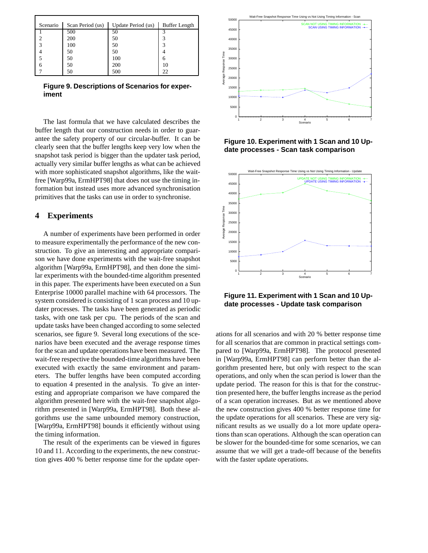| Scenario | Scan Period (us) | Update Period (us) | <b>Buffer Length</b> |
|----------|------------------|--------------------|----------------------|
|          | 500              | 50                 |                      |
| 2        | 200              | 50                 |                      |
| 3        | 100              | 50                 |                      |
|          | 50               | 50                 |                      |
| 5        | 50               | 100                | 6                    |
| 6        | 50               | 200                | 10                   |
|          | 50               | 500                | 22                   |

**Figure 9. Descriptions of Scenarios for experiment**

The last formula that we have calculated describes the buffer length that our construction needs in order to guarantee the safety property of our circular-buffer. It can be clearly seen that the buffer lengths keep very low when the snapshot task period is bigger than the updater task period, actually very similar buffer lengths as what can be achieved with more sophisticated snapshot algorithms, like the waitfree [Warp99a, ErmHPT98] that does not use the timing information but instead uses more advanced synchronisation primitives that the tasks can use in order to synchronise.

#### **4 Experiments**

A number of experiments have been performed in order to measure experimentally the performance of the new construction. To give an interesting and appropriate comparison we have done experiments with the wait-free snapshot algorithm [Warp99a, ErmHPT98], and then done the similar experiments with the bounded-time algorithm presented in this paper. The experiments have been executed on a Sun Enterprise 10000 parallel machine with 64 processors. The system considered is consisting of 1 scan process and 10 updater processes. The tasks have been generated as periodic tasks, with one task per cpu. The periods of the scan and update tasks have been changed according to some selected scenarios, see figure 9. Several long executions of the scenarios have been executed and the average response times for the scan and update operations have been measured. The wait-free respective the bounded-time algorithms have been executed with exactly the same environment and parameters. The buffer lengths have been computed according to equation 4 presented in the analysis. To give an interesting and appropriate comparison we have compared the algorithm presented here with the wait-free snapshot algorithm presented in [Warp99a, ErmHPT98]. Both these algorithms use the same unbounded memory construction, [Warp99a, ErmHPT98] bounds it efficiently without using the timing information.

The result of the experiments can be viewed in figures 10 and 11. According to the experiments, the new construction gives 400 % better response time for the update oper-



**Figure 10. Experiment with 1 Scan and 10 Update processes - Scan task comparison**



**Figure 11. Experiment with 1 Scan and 10 Update processes - Update task comparison**

ations for all scenarios and with 20 % better response time for all scenarios that are common in practical settings compared to [Warp99a, ErmHPT98]. The protocol presented in [Warp99a, ErmHPT98] can perform better than the algorithm presented here, but only with respect to the scan operations, and only when the scan period is lower than the update period. The reason for this is that for the construction presented here, the buffer lengths increase as the period of a scan operation increases. But as we mentioned above the new construction gives 400 % better response time for the update operations for all scenarios. These are very significant results as we usually do a lot more update operations than scan operations. Although the scan operation can be slower for the bounded-time for some scenarios, we can assume that we will get a trade-off because of the benefits with the faster update operations.